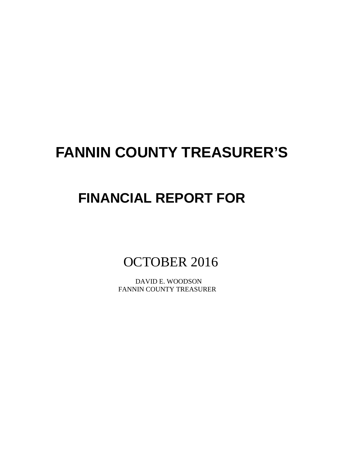# **FANNIN COUNTY TREASURER'S**

# **FINANCIAL REPORT FOR**

OCTOBER 2016

 DAVID E. WOODSON FANNIN COUNTY TREASURER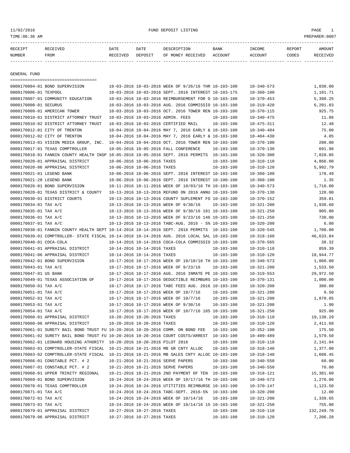11/02/2016 FUND DEPOSIT LISTING PAGE 1

| RECEIPT | <b>RECEIVED</b> | DATE            | DATE    | DESCRIPTION       | <b>BANK</b> | INCOME  | <b>REPORT</b> | AMOUNT          |
|---------|-----------------|-----------------|---------|-------------------|-------------|---------|---------------|-----------------|
| NUMBER  | FROM            | <b>RECEIVED</b> | DEPOSIT | OF MONEY RECEIVED | ACCOUNT     | ACCOUNT | CODES         | <b>RECEIVED</b> |
|         |                 |                 |         |                   |             |         |               |                 |

GENERAL FUND

|                           | =====================================                                                        |                             |                             |                                                            |                  |                  |            |
|---------------------------|----------------------------------------------------------------------------------------------|-----------------------------|-----------------------------|------------------------------------------------------------|------------------|------------------|------------|
|                           | 0000170004-01 BOND SUPERVISION                                                               |                             |                             | 10-03-2016 10-03-2016 WEEK OF 9/26/16 THR 10-103-100       |                  | $10 - 340 - 573$ | 1,830.00   |
| 0000170006-01 TEXPOOL     |                                                                                              |                             |                             | 10-03-2016 10-03-2016 SEPT. 2016 INTEREST 10-103-175       |                  | $10 - 360 - 100$ | 1,101.71   |
|                           | 0000170007-01 COMMUNITY EDUCATION                                                            |                             |                             | 10-03-2016 10-03-2016 REIMBURSEMENT FOR O 10-103-100       |                  | $10 - 370 - 453$ | 5,398.25   |
| 0000170008-01 SECURUS     |                                                                                              |                             |                             | 10-03-2016 10-03-2016 AUG. 2016 COMMISSIO 10-103-100       |                  | $10 - 319 - 420$ | 6,201.83   |
|                           | 0000170009-01 AMERICAN TOWER                                                                 |                             |                             | 10-03-2016 10-03-2016 OCT. 2016 TOWER REN 10-103-100       |                  | $10 - 370 - 115$ | 925.75     |
|                           | 0000170010-01 DISTRICT ATTORNEY TRUST                                                        |                             |                             | 10-03-2016 10-03-2016 ADMIN. FEES                          | $10 - 103 - 100$ | $10 - 340 - 475$ | 11.86      |
|                           | 0000170010-02 DISTRICT ATTORNEY TRUST                                                        |                             |                             | 10-03-2016 10-03-2016 CERTIFIED MAIL                       | 10-103-100       | $10 - 475 - 311$ | 12.48      |
|                           | 0000170012-01 CITY OF TRENTON                                                                |                             |                             | 10-04-2016 10-04-2016 MAY 7, 2016 EARLY & 10-103-100       |                  | $10 - 340 - 484$ | 75.00      |
|                           | 0000170012-02 CITY OF TRENTON                                                                |                             |                             | 10-04-2016 10-04-2016 MAY 7, 2016 EARLY & 10-103-100       |                  | $10 - 404 - 430$ | 4.05       |
|                           | 0000170013-01 VISION MEDIA GROUP, INC. 10-04-2016 10-04-2016 OCT. 2016 TOWER REN 10-103-100  |                             |                             |                                                            |                  | $10 - 370 - 100$ | 200.00     |
|                           | 0000170017-01 TEXAS COMPTROLLER                                                              |                             |                             | 10-05-2016 10-05-2016 FALL CONFERENCE                      | $10 - 103 - 100$ | $10 - 370 - 130$ | 691.96     |
|                           | 0000170018-01 FANNIN COUNTY HEALTH INSP 10-05-2016 10-05-2016 SEPT. 2016 PERMITS 10-103-100  |                             |                             |                                                            |                  | $10 - 320 - 300$ | 7,820.05   |
|                           | 0000170020-01 APPRAISAL DISTRICT                                                             | 10-06-2016 10-06-2016 TAXES |                             |                                                            | 10-103-100       | $10 - 310 - 110$ | 4,866.00   |
|                           | 0000170020-06 APPRAISAL DISTRICT                                                             | 10-06-2016 10-06-2016 TAXES |                             |                                                            | $10 - 103 - 100$ | $10 - 310 - 120$ | 5,992.79   |
| 0000170021-01 LEGEND BANK |                                                                                              |                             |                             | 10-06-2016 10-06-2016 SEPT. 2016 INTEREST 10-103-100       |                  | $10 - 360 - 100$ | 178.49     |
| 0000170021-28 LEGEND BANK |                                                                                              |                             |                             | 10-06-2016 10-06-2016 SEPT. 2016 INTEREST 10-100-100       |                  | $10 - 360 - 100$ | 1.35       |
|                           | 0000170026-01 BOND SUPERVISION                                                               |                             |                             | 10-11-2016 10-11-2016 WEEK OF 10/03/16 TH 10-103-100       |                  | $10 - 340 - 573$ | 1,710.00   |
|                           | 0000170028-01 TEXAS DISTRICT & COUNTY                                                        |                             |                             | 10-13-2016 10-13-2016 REFUND ON 2016 ANNU 10-103-100       |                  | $10 - 370 - 130$ | 120.00     |
|                           | 0000170030-01 DISTRICT COURTS                                                                |                             |                             | 10-13-2016 10-13-2016 COUNTY SUPLEMENT FO 10-103-100       |                  | $10 - 370 - 152$ | 359.81     |
| 0000170034-01 TAX A/C     |                                                                                              |                             |                             | 10-13-2016 10-13-2016 WEEK OF 9/30/16                      | 10-103-100       | $10 - 321 - 200$ | 1,938.60   |
| 0000170035-01 TAX A/C     |                                                                                              |                             |                             | 10-13-2016 10-13-2016 WEEK OF 9/30/16 181 10-103-100       |                  | $10 - 321 - 250$ | 905.00     |
| 0000170036-01 TAX A/C     |                                                                                              |                             |                             | 10-13-2016 10-13-2016 WEEK OF 9/23/16 146 10-103-100       |                  | $10 - 321 - 250$ | 730.00     |
| 0000170037-01 TAX A/C     |                                                                                              |                             |                             | $10-13-2016$ $10-13-2016$ TABC-AUG. 2016 - 5% $10-103-100$ |                  | $10 - 320 - 200$ | 6.00       |
|                           | 0000170038-01 FANNIN COUNTY HEALTH DEPT 10-14-2016 10-14-2016 SEPT. 2016 PERMITS 10-103-100  |                             |                             |                                                            |                  | $10 - 320 - 545$ | 1,700.00   |
|                           | 0000170039-01 COMPTROLLER- STATE FISCAL 10-14-2016 10-14-2016 AUG. 2016 LOCAL SAL 10-103-100 |                             |                             |                                                            |                  | $10 - 318 - 160$ | 46,633.84  |
| 0000170040-01 COCA-COLA   |                                                                                              |                             |                             | 10-14-2016 10-14-2016 COCA-COLA COMMISSIO 10-103-100       |                  | $10 - 370 - 565$ | 38.32      |
|                           | 0000170041-01 APPRAISAL DISTRICT                                                             | 10-14-2016 10-14-2016 TAXES |                             |                                                            | 10-103-100       | $10 - 310 - 110$ | 859.39     |
|                           | 0000170041-06 APPRAISAL DISTRICT                                                             | 10-14-2016 10-14-2016 TAXES |                             |                                                            | 10-103-100       | $10 - 310 - 120$ | 18,944.77  |
|                           | 0000170042-01 BOND SUPERVISION                                                               |                             |                             | 10-17-2016 10-17-2016 WEEK OF 10/10/16 TH 10-103-100       |                  | $10 - 340 - 573$ | 1,060.00   |
| 0000170043-01 TAX A/C     |                                                                                              |                             |                             | 10-17-2016 10-17-2016 WEEK OF 9/23/16                      | $10 - 103 - 100$ | $10 - 321 - 200$ | 1,533.50   |
| 0000170047-01 US BANK     |                                                                                              |                             |                             | 10-17-2016 10-17-2016 AUG. 2016 INMATE PE 10-103-100       |                  | $10 - 319 - 553$ | 29,972.50  |
|                           | 0000170049-01 TEXAS ASSOCIATION OF                                                           |                             |                             | 10-17-2016 10-17-2016 DEDUCTIBLE REIMBURS 10-103-100       |                  | $10 - 370 - 131$ | 1,000.00   |
| 0000170050-01 TAX A/C     |                                                                                              |                             |                             | 10-17-2016 10-17-2016 TABC FEES AUG. 2016 10-103-100       |                  | $10 - 320 - 200$ | 380.00     |
| 0000170051-01 TAX A/C     |                                                                                              |                             |                             | 10-17-2016 10-17-2016 WEEK OF 10/7/16                      | $10 - 103 - 100$ | $10 - 321 - 200$ | 9.50       |
| 0000170052-01 TAX A/C     |                                                                                              |                             |                             | 10-17-2016 10-17-2016 WEEK OF 10/7/16                      | 10-103-100       | $10 - 321 - 200$ | 1,870.05   |
| 0000170053-01 TAX A/C     |                                                                                              |                             |                             | 10-17-2016 10-17-2016 WEEK OF 9/30/16                      | $10 - 103 - 100$ | $10 - 321 - 200$ | 1.90       |
| 0000170054-01 TAX A/C     |                                                                                              |                             |                             | 10-17-2016 10-17-2016 WEEK OF 10/7/16 185 10-103-100       |                  | $10 - 321 - 250$ | 925.00     |
|                           | 0000170060-01 APPRAISAL DISTRICT                                                             | 10-20-2016 10-20-2016 TAXES |                             |                                                            | 10-103-100       | $10 - 310 - 110$ | 19,138.29  |
|                           | 0000170060-06 APPRAISAL DISTRICT                                                             | 10-20-2016 10-20-2016 TAXES |                             |                                                            | $10 - 103 - 100$ | $10 - 310 - 120$ | 2,411.68   |
|                           | 0000170061-01 SURETY BAIL BOND TRUST FU 10-20-2016 10-20-2016 COMM. ON BOND FEE 10-103-100   |                             |                             |                                                            |                  | $10 - 352 - 100$ | 175.50     |
|                           | 0000170061-02 SURETY BAIL BOND TRUST FU 10-20-2016 10-20-2016 COURT COSTS/ARREST 10-103-100  |                             |                             |                                                            |                  | $10 - 409 - 489$ | 1,579.50   |
|                           | 0000170062-01 LEONARD HOUSING ATHORITY 10-20-2016 10-20-2016 PILOT 2016                      |                             |                             |                                                            | $10 - 103 - 100$ | $10 - 310 - 110$ | 2,141.04   |
|                           | 0000170063-01 COMPTROLLER-STATE FISCAL 10-21-2016 10-21-2016 MB GR CNTY ALLOC                |                             |                             |                                                            | $10 - 103 - 100$ | $10 - 318 - 140$ | 1,377.00   |
|                           | 0000170063-02 COMPTROLLER-STATE FISCAL 10-21-2016 10-21-2016 MB SALES CNTY ALLOC 10-103-100  |                             |                             |                                                            |                  | $10 - 318 - 140$ | 1,608.45   |
|                           | 0000170066-01 CONSTABLE PCT. # 2                                                             |                             |                             | 10-21-2016 10-21-2016 SERVE PAPERS                         | $10 - 103 - 100$ | $10 - 340 - 550$ | 60.00      |
|                           | 0000170067-01 CONSTABLE PCT. # 2                                                             |                             |                             | 10-21-2016 10-21-2016 SERVE PAPERS                         | $10 - 103 - 100$ | $10 - 340 - 550$ | 70.00      |
|                           | 0000170068-01 UPPER TRINITY REGIONAL                                                         |                             |                             | 10-21-2016 10-21-2016 2ND PAYMENT OF TEN 10-103-100        |                  | $10 - 318 - 121$ | 15,381.60  |
|                           | 0000170069-01 BOND SUPERVISION                                                               |                             |                             | 10-24-2016 10-24-2016 WEEK OF 10/17/16 TH 10-103-100       |                  | $10 - 340 - 573$ | 1,270.00   |
|                           | 0000170070-01 TEXAS COMPTROLLER                                                              |                             |                             | 10-24-2016 10-24-2016 UTITITIES REIMBURSE 10-103-100       |                  | 10-370-147       | 1,123.50   |
| 0000170071-01 TAX A/C     |                                                                                              |                             |                             | 10-24-2016 10-24-2016 TABC-SEPT. 2016-5% 10-103-100        |                  | $10 - 320 - 200$ | 12.00      |
| 0000170072-01 TAX A/C     |                                                                                              |                             |                             | 10-24-2016 10-24-2016 WEEK OF 10/14/16                     | $10 - 103 - 100$ | $10 - 321 - 200$ | 1,339.65   |
| 0000170073-01 TAX A/C     |                                                                                              |                             |                             | 10-24-2016 10-24-2016 WEEK OF 10/14/16 15 10-103-100       |                  | $10 - 321 - 250$ | 755.00     |
|                           | 0000170079-01 APPRAISAL DISTRICT                                                             |                             | 10-27-2016 10-27-2016 TAXES |                                                            | $10 - 103 - 100$ | $10 - 310 - 110$ | 132,249.70 |
|                           | 0000170079-06 APPRAISAL DISTRICT                                                             |                             | 10-27-2016 10-27-2016 TAXES |                                                            | $10 - 103 - 100$ | $10 - 310 - 120$ | 7,206.28   |
|                           |                                                                                              |                             |                             |                                                            |                  |                  |            |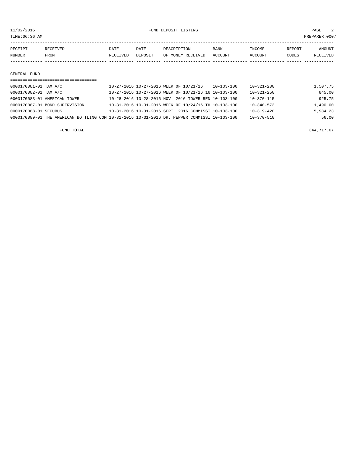TIME:06:36 AM PREPARER:0007

| RECEIPT | RECEIVED | DATE     | DATE    | DESCRIPTION       | <b>BANK</b> | INCOME  | <b>REPORT</b> | AMOUNT   |
|---------|----------|----------|---------|-------------------|-------------|---------|---------------|----------|
| NUMBER  | FROM     | RECEIVED | DEPOSIT | OF MONEY RECEIVED | ACCOUNT     | ACCOUNT | CODES         | RECEIVED |
|         |          |          |         |                   |             |         |               |          |

#### GENERAL FUND

| 0000170081-01 TAX A/C |                                                                                              | 10-27-2016 10-27-2016 WEEK OF 10/21/16 |  |                                                      | $10 - 103 - 100$ | $10 - 321 - 200$ | 1,507.75 |
|-----------------------|----------------------------------------------------------------------------------------------|----------------------------------------|--|------------------------------------------------------|------------------|------------------|----------|
| 0000170082-01 TAX A/C |                                                                                              |                                        |  | 10-27-2016 10-27-2016 WEEK OF 10/21/16 16 10-103-100 |                  | $10 - 321 - 250$ | 845.00   |
|                       | 0000170083-01 AMERICAN TOWER                                                                 |                                        |  | 10-28-2016 10-28-2016 NOV. 2016 TOWER REN 10-103-100 |                  | $10 - 370 - 115$ | 925.75   |
|                       | 0000170087-01 BOND SUPERVISION                                                               |                                        |  | 10-31-2016 10-31-2016 WEEK OF 10/24/16 TH 10-103-100 |                  | $10 - 340 - 573$ | 1,490.00 |
| 0000170088-01 SECURUS |                                                                                              |                                        |  | 10-31-2016 10-31-2016 SEPT. 2016 COMMISSI 10-103-100 |                  | $10 - 319 - 420$ | 5,984.23 |
|                       | 0000170089-01 THE AMERICAN BOTTLING COM 10-31-2016 10-31-2016 DR. PEPPER COMMISSI 10-103-100 |                                        |  |                                                      |                  | $10 - 370 - 510$ | 56.00    |

FUND TOTAL  $344,717.67$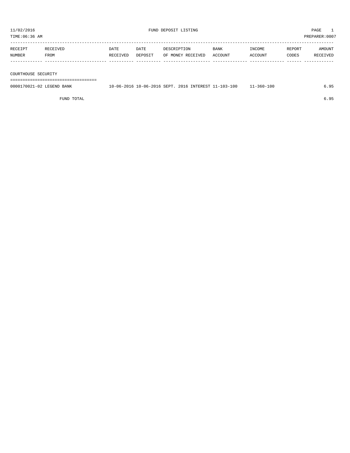TIME:06:36 AM PREPARER:0007 ----------------------------------------------------------------------------------------------------------------------------------- RECEIPT RECEIVED DATE DATE DESCRIPTION BANK INCOME REPORT AMOUNT NUMBER FROM RECEIVED DEPOSIT OF MONEY RECEIVED ACCOUNT ACCOUNT CODES RECEIVED ------------- ------------------------- ---------- ---------- ------------------- -------------- -------------- ------ ------------

COURTHOUSE SECURITY

===================================

| 0000170021-02<br>LEGEND.<br>BANK | $10 - 06 - 20$<br>$\cdot$ In | 10-06-2016 SEPT. | 2016 | INTEREST 1 | $1 - 103 - 100$ | 100<br>$360 - 7$ |  |
|----------------------------------|------------------------------|------------------|------|------------|-----------------|------------------|--|
|                                  |                              |                  |      |            |                 |                  |  |

FUND TOTAL 6.95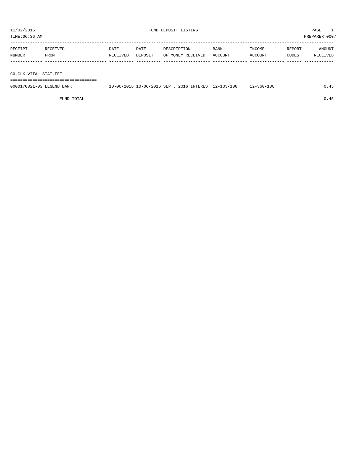TIME:06:36 AM PREPARER:0007 ----------------------------------------------------------------------------------------------------------------------------------- RECEIPT RECEIVED DATE DATE DESCRIPTION BANK INCOME REPORT AMOUNT NUMBER FROM RECEIVED DEPOSIT OF MONEY RECEIVED ACCOUNT ACCOUNT CODES RECEIVED

------------- ------------------------- ---------- ---------- ------------------- -------------- -------------- ------ ------------ CO.CLK.VITAL STAT.FEE ===================================

0000170021-03 LEGEND BANK 10-06-2016 10-06-2016 SEPT. 2016 INTEREST 12-103-100 12-360-100 0.45

FUND TOTAL  $0.45$ 

11/02/2016 FUND DEPOSIT LISTING PAGE 1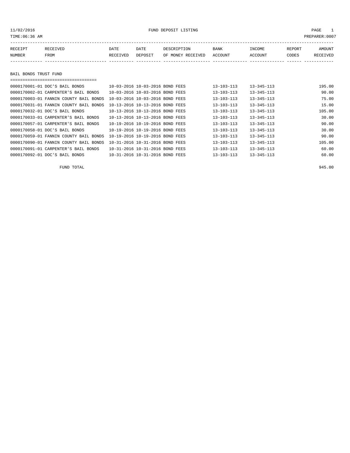| RECEIPT | RECEIVED    | <b>DATE</b> | DATE    | DESCRIPTION               | BANK | INCOME  | REPORT | <b>AMOUNT</b> |
|---------|-------------|-------------|---------|---------------------------|------|---------|--------|---------------|
| NUMBER  | <b>FROM</b> | RECEIVED    | DEPOSIT | OF MONEY RECEIVED ACCOUNT |      | ACCOUNT | CODES  | RECEIVED      |
|         |             |             |         |                           |      |         |        |               |

### BAIL BONDS TRUST FUND

| , ___________________________________  |                                 |                  |                  |        |
|----------------------------------------|---------------------------------|------------------|------------------|--------|
| 0000170001-01 DOC'S BAIL BONDS         | 10-03-2016 10-03-2016 BOND FEES | $13 - 103 - 113$ | $13 - 345 - 113$ | 195.00 |
| 0000170002-01 CARPENTER'S BAIL BONDS   | 10-03-2016 10-03-2016 BOND FEES | $13 - 103 - 113$ | $13 - 345 - 113$ | 90.00  |
| 0000170003-01 FANNIN COUNTY BAIL BONDS | 10-03-2016 10-03-2016 BOND FEES | $13 - 103 - 113$ | $13 - 345 - 113$ | 75.00  |
| 0000170031-01 FANNIN COUNTY BAIL BONDS | 10-13-2016 10-13-2016 BOND FEES | $13 - 103 - 113$ | $13 - 345 - 113$ | 15.00  |
| 0000170032-01 DOC'S BAIL BONDS         | 10-13-2016 10-13-2016 BOND FEES | $13 - 103 - 113$ | $13 - 345 - 113$ | 105.00 |
| 0000170033-01 CARPENTER'S BAIL BONDS   | 10-13-2016 10-13-2016 BOND FEES | $13 - 103 - 113$ | $13 - 345 - 113$ | 30.00  |
| 0000170057-01 CARPENTER'S BAIL BONDS   | 10-19-2016 10-19-2016 BOND FEES | $13 - 103 - 113$ | $13 - 345 - 113$ | 90.00  |
| 0000170058-01 DOC'S BAIL BONDS         | 10-19-2016 10-19-2016 BOND FEES | $13 - 103 - 113$ | $13 - 345 - 113$ | 30.00  |
| 0000170059-01 FANNIN COUNTY BAIL BONDS | 10-19-2016 10-19-2016 BOND FEES | $13 - 103 - 113$ | $13 - 345 - 113$ | 90.00  |
| 0000170090-01 FANNIN COUNTY BAIL BONDS | 10-31-2016 10-31-2016 BOND FEES | $13 - 103 - 113$ | $13 - 345 - 113$ | 105.00 |
| 0000170091-01 CARPENTER'S BAIL BONDS   | 10-31-2016 10-31-2016 BOND FEES | $13 - 103 - 113$ | $13 - 345 - 113$ | 60.00  |
| 0000170092-01 DOC'S BAIL BONDS         | 10-31-2016 10-31-2016 BOND FEES | $13 - 103 - 113$ | $13 - 345 - 113$ | 60.00  |

FUND TOTAL 945.00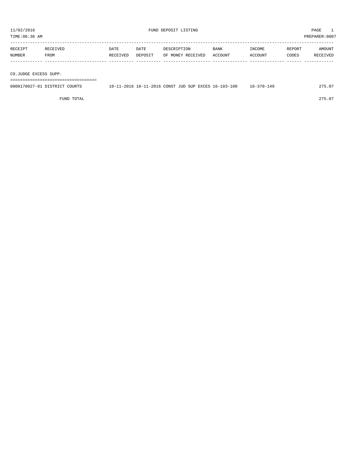| TIME:06:36 AM         |                               |          |         |                                                      |             |                  |        | PREPARER:0007 |
|-----------------------|-------------------------------|----------|---------|------------------------------------------------------|-------------|------------------|--------|---------------|
|                       |                               |          |         |                                                      |             |                  |        |               |
| RECEIPT               | RECEIVED                      | DATE     | DATE    | DESCRIPTION                                          | <b>BANK</b> | INCOME           | REPORT | AMOUNT        |
| NUMBER                | FROM                          | RECEIVED | DEPOSIT | OF MONEY RECEIVED                                    | ACCOUNT     | ACCOUNT          | CODES  | RECEIVED      |
|                       |                               |          |         |                                                      |             |                  |        |               |
|                       |                               |          |         |                                                      |             |                  |        |               |
| CO.JUDGE EXCESS SUPP. |                               |          |         |                                                      |             |                  |        |               |
|                       |                               |          |         |                                                      |             |                  |        |               |
|                       | 0000170027-01 DISTRICT COURTS |          |         | 10-11-2016 10-11-2016 CONST JUD SUP EXCES 16-103-100 |             | $16 - 370 - 149$ |        | 275.07        |
|                       |                               |          |         |                                                      |             |                  |        |               |

FUND TOTAL 275.07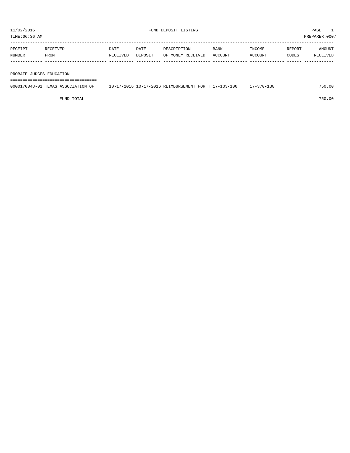TIME:06:36 AM PREPARER:0007 ----------------------------------------------------------------------------------------------------------------------------------- RECEIPT RECEIVED DATE DATE DESCRIPTION BANK INCOME REPORT AMOUNT

| NUMBER                   | FROM | RECEIVED | DEPOSIT OF MONEY RECEIVED ACCOUNT |  | ACCOUNT | <b>CODES</b> | RECEIVED |
|--------------------------|------|----------|-----------------------------------|--|---------|--------------|----------|
|                          |      |          |                                   |  |         |              |          |
|                          |      |          |                                   |  |         |              |          |
| PROBATE JUDGES EDUCATION |      |          |                                   |  |         |              |          |

===================================

| 0000170048-01 TEXAS ASSOCIATION OF | 10-17-2016 10-17-2016 REIMBURSEMENT FOR T 17-103-100 | 17-370-130 | 750.00 |
|------------------------------------|------------------------------------------------------|------------|--------|
|                                    |                                                      |            |        |

FUND TOTAL 750.00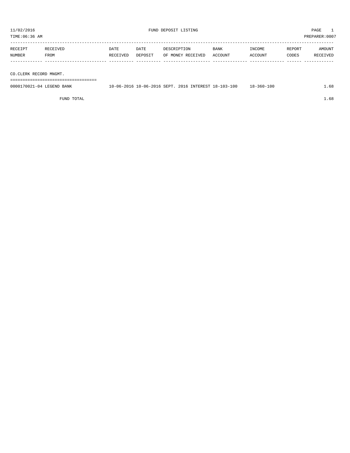TIME:06:36 AM PREPARER:0007 ----------------------------------------------------------------------------------------------------------------------------------- RECEIPT RECEIVED DATE DATE DESCRIPTION BANK INCOME REPORT AMOUNT NUMBER FROM RECEIVED DEPOSIT OF MONEY RECEIVED ACCOUNT ACCOUNT CODES RECEIVED ------------- ------------------------- ---------- ---------- ------------------- -------------- -------------- ------ ------------

CO.CLERK RECORD MNGMT.

===================================

| 0000170021-04<br>LEGEND<br>BANK | l 0 – 0 6 – 2 0<br>$\cdot$ . In | 10-06-2016 SEPT. | 2016 | INTEREST 18- | $103 - 1$<br>$\cdot$ $\times$ $ \cdot$ | $-100$<br>$360 -$<br>$+8-$ | $\sim$ $\sim$ |
|---------------------------------|---------------------------------|------------------|------|--------------|----------------------------------------|----------------------------|---------------|
|                                 |                                 |                  |      |              |                                        |                            |               |

FUND TOTAL  $1.68$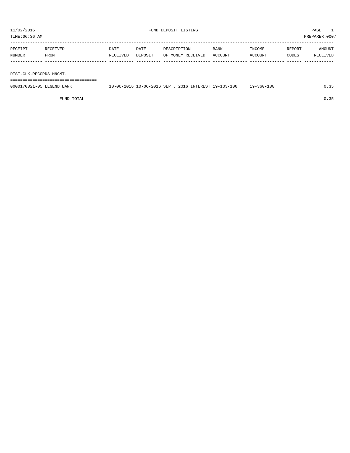TIME:06:36 AM PREPARER:0007 -----------------------------------------------------------------------------------------------------------------------------------

| RECEIPT | <b>RECEIVED</b> | DATE     | DATE    | DESCRIPTION       | <b>BANK</b> | <b>INCOME</b> | REPORT | AMOUNT   |
|---------|-----------------|----------|---------|-------------------|-------------|---------------|--------|----------|
| NUMBER  | FROM            | RECEIVED | DEPOSIT | OF MONEY RECEIVED | ACCOUNT     | ACCOUNT       | CODES  | RECEIVED |
|         |                 |          |         |                   |             |               |        |          |
|         |                 |          |         |                   |             |               |        |          |

DIST.CLK.RECORDS MNGMT.

===================================

| 0000170021-05 LEGEND BANK |  |  | 10-06-2016 10-06-2016 SEPT. 2016 INTEREST 19-103-100 | 19-360-100 |  |
|---------------------------|--|--|------------------------------------------------------|------------|--|
|                           |  |  |                                                      |            |  |

FUND TOTAL  $0.35$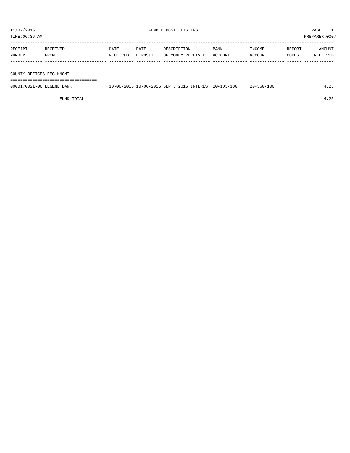TIME:06:36 AM PREPARER:0007

| RECEIPT | RECEIVED | DATE     | DATE    | DESCRIPTION       | <b>BANK</b> | INCOME  | REPORT | AMOUNT   |
|---------|----------|----------|---------|-------------------|-------------|---------|--------|----------|
| NUMBER  | FROM     | RECEIVED | DEPOSIT | OF MONEY RECEIVED | ACCOUNT     | ACCOUNT | CODES  | RECEIVED |
|         |          |          |         |                   |             |         |        |          |
|         |          |          |         |                   |             |         |        |          |

COUNTY OFFICES REC.MNGMT.

===================================

| 0000170021-06 LEGEND BANK | 10-06-2016 | 10-06-2016 SEPT, 2016 |  | S INTEREST 20-103-100 | -360-100<br>$20 - 7$ |  |
|---------------------------|------------|-----------------------|--|-----------------------|----------------------|--|
|                           |            |                       |  |                       |                      |  |

FUND TOTAL 4.25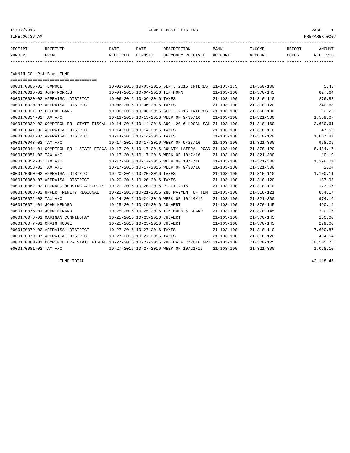11/02/2016 FUND DEPOSIT LISTING PAGE 1

| RECEIPT | <b>RECEIVED</b> | DATE            | DATE    | DESCRIPTION       | <b>BANK</b> | <b>INCOME</b> | REPORT | AMOUNT          |
|---------|-----------------|-----------------|---------|-------------------|-------------|---------------|--------|-----------------|
| NUMBER  | FROM            | <b>RECEIVED</b> | DEPOSIT | OF MONEY RECEIVED | ACCOUNT     | ACCOUNT       | CODES  | <b>RECEIVED</b> |
|         |                 |                 |         |                   |             |               |        |                 |

FANNIN CO. R & B #1 FUND

| =====================================                                                        |                                                      |                  |                  |           |
|----------------------------------------------------------------------------------------------|------------------------------------------------------|------------------|------------------|-----------|
| 0000170006-02 TEXPOOL                                                                        | 10-03-2016 10-03-2016 SEPT. 2016 INTEREST 21-103-175 |                  | $21 - 360 - 100$ | 5.43      |
| 0000170016-01 JOHN MORRIS                                                                    | 10-04-2016 10-04-2016 TIN HORN                       | $21 - 103 - 100$ | $21 - 370 - 145$ | 827.64    |
| 0000170020-02 APPRAISAL DISTRICT                                                             | 10-06-2016 10-06-2016 TAXES                          | $21 - 103 - 100$ | $21 - 310 - 110$ | 276.83    |
| 0000170020-07 APPRAISAL DISTRICT                                                             | 10-06-2016 10-06-2016 TAXES                          | $21 - 103 - 100$ | $21 - 310 - 120$ | 340.68    |
| 0000170021-07 LEGEND BANK                                                                    | 10-06-2016 10-06-2016 SEPT, 2016 INTEREST 21-103-100 |                  | $21 - 360 - 100$ | 12.25     |
| 0000170034-02 TAX A/C                                                                        | 10-13-2016 10-13-2016 WEEK OF 9/30/16                | $21 - 103 - 100$ | $21 - 321 - 300$ | 1,559.07  |
| 0000170039-02 COMPTROLLER- STATE FISCAL 10-14-2016 10-14-2016 AUG. 2016 LOCAL SAL 21-103-100 |                                                      |                  | $21 - 318 - 160$ | 2,680.61  |
| 0000170041-02 APPRAISAL DISTRICT                                                             | 10-14-2016 10-14-2016 TAXES                          | $21 - 103 - 100$ | $21 - 310 - 110$ | 47.56     |
| 0000170041-07 APPRAISAL DISTRICT                                                             | 10-14-2016 10-14-2016 TAXES                          | $21 - 103 - 100$ | $21 - 310 - 120$ | 1,067.87  |
| 0000170043-02 TAX A/C                                                                        | 10-17-2016 10-17-2016 WEEK OF 9/23/16                | $21 - 103 - 100$ | $21 - 321 - 300$ | 968.05    |
| 0000170044-01 COMPTROLLER - STATE FISCA 10-17-2016 10-17-2016 COUNTY LATERAL ROAD 21-103-100 |                                                      |                  | $21 - 370 - 120$ | 8,484.17  |
| 0000170051-02 TAX A/C                                                                        | 10-17-2016 10-17-2016 WEEK OF 10/7/16                | $21 - 103 - 100$ | $21 - 321 - 300$ | 10.19     |
| 0000170052-02 TAX A/C                                                                        | 10-17-2016 10-17-2016 WEEK OF 10/7/16                | $21 - 103 - 100$ | $21 - 321 - 300$ | 1,398.07  |
| 0000170053-02 TAX A/C                                                                        | 10-17-2016 10-17-2016 WEEK OF 9/30/16                | $21 - 103 - 100$ | $21 - 321 - 300$ | 2.04      |
| 0000170060-02 APPRAISAL DISTRICT                                                             | 10-20-2016 10-20-2016 TAXES                          | $21 - 103 - 100$ | $21 - 310 - 110$ | 1,100.11  |
| 0000170060-07 APPRAISAL DISTRICT                                                             | 10-20-2016 10-20-2016 TAXES                          | $21 - 103 - 100$ | $21 - 310 - 120$ | 137.93    |
| 0000170062-02 LEONARD HOUSING ATHORITY                                                       | 10-20-2016 10-20-2016 PILOT 2016                     | $21 - 103 - 100$ | $21 - 310 - 110$ | 123.07    |
| 0000170068-02 UPPER TRINITY REGIONAL                                                         | 10-21-2016 10-21-2016 2ND PAYMENT OF TEN             | 21-103-100       | $21 - 318 - 121$ | 884.17    |
| 0000170072-02 TAX A/C                                                                        | 10-24-2016 10-24-2016 WEEK OF 10/14/16               | $21 - 103 - 100$ | $21 - 321 - 300$ | 974.16    |
| 0000170074-01 JOHN HENARD                                                                    | 10-25-2016 10-25-2016 CULVERT                        | $21 - 103 - 100$ | $21 - 370 - 145$ | 490.14    |
| 0000170075-01 JOHN HENARD                                                                    | 10-25-2016 10-25-2016 TIN HORN & GUARD               | $21 - 103 - 100$ | $21 - 370 - 145$ | 710.16    |
| 0000170076-01 MARINAN CUNNINGHAM                                                             | 10-25-2016 10-25-2016 CULVERT                        | $21 - 103 - 100$ | $21 - 370 - 145$ | 150.00    |
| 0000170077-01 CRAIG HODGE                                                                    | 10-25-2016 10-25-2016 CULVERT                        | $21 - 103 - 100$ | $21 - 370 - 145$ | 279.00    |
| 0000170079-02 APPRAISAL DISTRICT                                                             | 10-27-2016 10-27-2016 TAXES                          | $21 - 103 - 100$ | $21 - 310 - 110$ | 7,600.87  |
| 0000170079-07 APPRAISAL DISTRICT                                                             | 10-27-2016 10-27-2016 TAXES                          | $21 - 103 - 100$ | $21 - 310 - 120$ | 404.54    |
| 0000170080-01 COMPTROLLER- STATE FISCAL 10-27-2016 10-27-2016 2ND HALF CY2016 GRO 21-103-100 |                                                      |                  | $21 - 370 - 125$ | 10,505.75 |
| 0000170081-02 TAX A/C                                                                        | 10-27-2016 10-27-2016 WEEK OF 10/21/16               | $21 - 103 - 100$ | $21 - 321 - 300$ | 1,078.10  |

FUND TOTAL  $42,118.46$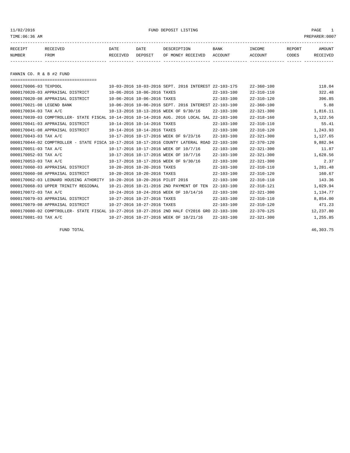11/02/2016 FUND DEPOSIT LISTING PAGE 1

| RECEIPT | <b>RECEIVED</b> | DATE     | DATE    | DESCRIPTION              | <b>BANK</b>    | INCOME | REPORT | AMOUNT                 |
|---------|-----------------|----------|---------|--------------------------|----------------|--------|--------|------------------------|
| NUMBER  | FROM            | RECEIVED | DEPOSIT | RECEIVED<br>MONE Y<br>OF | <b>ACCOUNT</b> | CCOUNT | CODES  | <b>ELTVED</b><br>- REC |
|         |                 |          |         |                          |                |        |        |                        |

FANNIN CO. R & B #2 FUND

===================================

| 0000170006-03 TEXPOOL     |                                                                                              |                             |                                  | 10-03-2016 10-03-2016 SEPT. 2016 INTEREST 22-103-175 |                  | $22 - 360 - 100$ | 118.04    |
|---------------------------|----------------------------------------------------------------------------------------------|-----------------------------|----------------------------------|------------------------------------------------------|------------------|------------------|-----------|
|                           | 0000170020-03 APPRAISAL DISTRICT                                                             |                             | 10-06-2016 10-06-2016 TAXES      |                                                      | $22 - 103 - 100$ | $22 - 310 - 110$ | 322.48    |
|                           | 0000170020-08 APPRAISAL DISTRICT                                                             |                             | 10-06-2016 10-06-2016 TAXES      |                                                      | $22 - 103 - 100$ | $22 - 310 - 120$ | 396.85    |
| 0000170021-08 LEGEND BANK |                                                                                              |                             |                                  | 10-06-2016 10-06-2016 SEPT. 2016 INTEREST 22-103-100 |                  | $22 - 360 - 100$ | 5.88      |
| 0000170034-03 TAX A/C     |                                                                                              |                             |                                  | 10-13-2016 10-13-2016 WEEK OF 9/30/16                | $22 - 103 - 100$ | $22 - 321 - 300$ | 1,816.11  |
|                           | 0000170039-03 COMPTROLLER- STATE FISCAL 10-14-2016 10-14-2016 AUG. 2016 LOCAL SAL            |                             |                                  |                                                      | $22 - 103 - 100$ | $22 - 318 - 160$ | 3,122.56  |
|                           | 0000170041-03 APPRAISAL DISTRICT                                                             |                             | 10-14-2016 10-14-2016 TAXES      |                                                      | $22 - 103 - 100$ | $22 - 310 - 110$ | 55.41     |
|                           | 0000170041-08 APPRAISAL DISTRICT                                                             | 10-14-2016 10-14-2016 TAXES |                                  |                                                      | $22 - 103 - 100$ | $22 - 310 - 120$ | 1,243.93  |
| 0000170043-03 TAX A/C     |                                                                                              |                             |                                  | 10-17-2016 10-17-2016 WEEK OF 9/23/16                | $22 - 103 - 100$ | $22 - 321 - 300$ | 1,127.65  |
|                           | 0000170044-02 COMPTROLLER - STATE FISCA 10-17-2016 10-17-2016 COUNTY LATERAL ROAD            |                             |                                  |                                                      | $22 - 103 - 100$ | $22 - 370 - 120$ | 9,882.94  |
| 0000170051-03 TAX A/C     |                                                                                              |                             |                                  | 10-17-2016 10-17-2016 WEEK OF 10/7/16                | $22 - 103 - 100$ | $22 - 321 - 300$ | 11.87     |
| 0000170052-03 TAX A/C     |                                                                                              |                             |                                  | 10-17-2016 10-17-2016 WEEK OF 10/7/16                | $22 - 103 - 100$ | $22 - 321 - 300$ | 1,628.56  |
| 0000170053-03 TAX A/C     |                                                                                              |                             |                                  | 10-17-2016 10-17-2016 WEEK OF 9/30/16                | $22 - 103 - 100$ | $22 - 321 - 300$ | 2.37      |
|                           | 0000170060-03 APPRAISAL DISTRICT                                                             |                             | 10-20-2016 10-20-2016 TAXES      |                                                      | $22 - 103 - 100$ | $22 - 310 - 110$ | 1,281.48  |
|                           | 0000170060-08 APPRAISAL DISTRICT                                                             |                             | 10-20-2016 10-20-2016 TAXES      |                                                      | $22 - 103 - 100$ | $22 - 310 - 120$ | 160.67    |
|                           | 0000170062-03 LEONARD HOUSING ATHORITY                                                       |                             | 10-20-2016 10-20-2016 PILOT 2016 |                                                      | $22 - 103 - 100$ | $22 - 310 - 110$ | 143.36    |
|                           | 0000170068-03 UPPER TRINITY REGIONAL                                                         |                             |                                  | 10-21-2016 10-21-2016 2ND PAYMENT OF TEN             | $22 - 103 - 100$ | $22 - 318 - 121$ | 1,029.94  |
| 0000170072-03 TAX A/C     |                                                                                              |                             |                                  | 10-24-2016 10-24-2016 WEEK OF 10/14/16               | $22 - 103 - 100$ | $22 - 321 - 300$ | 1,134.77  |
|                           | 0000170079-03 APPRAISAL DISTRICT                                                             |                             | 10-27-2016 10-27-2016 TAXES      |                                                      | $22 - 103 - 100$ | $22 - 310 - 110$ | 8,854.00  |
|                           | 0000170079-08 APPRAISAL DISTRICT                                                             |                             | 10-27-2016 10-27-2016 TAXES      |                                                      | $22 - 103 - 100$ | $22 - 310 - 120$ | 471.23    |
|                           | 0000170080-02 COMPTROLLER- STATE FISCAL 10-27-2016 10-27-2016 2ND HALF CY2016 GRO 22-103-100 |                             |                                  |                                                      |                  | $22 - 370 - 125$ | 12,237.80 |
| 0000170081-03 TAX A/C     |                                                                                              |                             |                                  | 10-27-2016 10-27-2016 WEEK OF 10/21/16               | $22 - 103 - 100$ | $22 - 321 - 300$ | 1,255.85  |

FUND TOTAL  $46,303.75$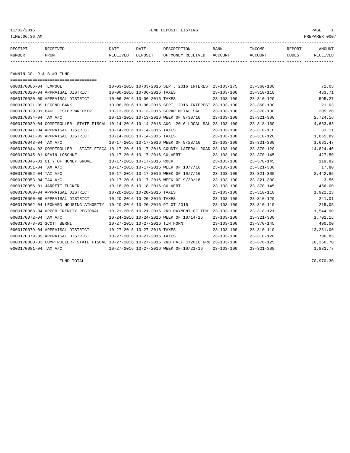### 11/02/2016 FUND DEPOSIT LISTING PAGE 1

| RECEIPT | <b>RECEIVED</b> | DATE     | DATE    |                           | <b>BANK</b> | INCOME | REPORT | AMOUNT |
|---------|-----------------|----------|---------|---------------------------|-------------|--------|--------|--------|
| NUMBER  | FROM            | RECEIVED | DEPOSIT | RECEIVED<br>OF.<br>MONE Y | ACCOUNT     | CCOUNT | CODES  | CEIVED |
|         |                 |          |         |                           |             |        |        |        |

FANNIN CO. R & B #3 FUND

| ======================================                                                       |                                                      |                  |                  |           |
|----------------------------------------------------------------------------------------------|------------------------------------------------------|------------------|------------------|-----------|
| 0000170006-04 TEXPOOL                                                                        | 10-03-2016 10-03-2016 SEPT, 2016 INTEREST 23-103-175 |                  | $23 - 360 - 100$ | 71.03     |
| 0000170020-04 APPRAISAL DISTRICT                                                             | 10-06-2016 10-06-2016 TAXES                          | $23 - 103 - 100$ | $23 - 310 - 110$ | 483.71    |
| 0000170020-09 APPRAISAL DISTRICT                                                             | 10-06-2016 10-06-2016 TAXES                          | $23 - 103 - 100$ | $23 - 310 - 120$ | 595.27    |
| 0000170021-09 LEGEND BANK                                                                    | 10-06-2016 10-06-2016 SEPT. 2016 INTEREST 23-103-100 |                  | $23 - 360 - 100$ | 21.03     |
| 0000170029-01 PAUL LESTER WRECKER                                                            | 10-13-2016 10-13-2016 SCRAP METAL SALE               | $23 - 103 - 100$ | $23 - 370 - 130$ | 205.20    |
| 0000170034-04 TAX A/C                                                                        | 10-13-2016 10-13-2016 WEEK OF 9/30/16                | $23 - 103 - 100$ | $23 - 321 - 300$ | 2,724.16  |
| 0000170039-04 COMPTROLLER- STATE FISCAL 10-14-2016 10-14-2016 AUG. 2016 LOCAL SAL 23-103-100 |                                                      |                  | $23 - 318 - 160$ | 4,683.83  |
| 0000170041-04 APPRAISAL DISTRICT                                                             | 10-14-2016 10-14-2016 TAXES                          | $23 - 103 - 100$ | $23 - 310 - 110$ | 83.11     |
| 0000170041-09 APPRAISAL DISTRICT                                                             | 10-14-2016 10-14-2016 TAXES                          | $23 - 103 - 100$ | $23 - 310 - 120$ | 1,865.89  |
| 0000170043-04 TAX A/C                                                                        | 10-17-2016 10-17-2016 WEEK OF 9/23/16                | $23 - 103 - 100$ | $23 - 321 - 300$ | 1,691.47  |
| 0000170044-03 COMPTROLLER - STATE FISCA 10-17-2016 10-17-2016 COUNTY LATERAL ROAD 23-103-100 |                                                      |                  | $23 - 370 - 120$ | 14,824.40 |
| 0000170045-01 KEVIN LOSCHKE                                                                  | 10-17-2016 10-17-2016 CULVERT                        | $23 - 103 - 100$ | $23 - 370 - 145$ | 427.50    |
| 0000170046-01 CITY OF HONEY GROVE                                                            | 10-17-2016 10-17-2016 ROCK                           | $23 - 103 - 100$ | $23 - 370 - 145$ | 119.82    |
| 0000170051-04 TAX A/C                                                                        | 10-17-2016 10-17-2016 WEEK OF 10/7/16                | $23 - 103 - 100$ | $23 - 321 - 300$ | 17.80     |
| 0000170052-04 TAX A/C                                                                        | 10-17-2016 10-17-2016 WEEK OF 10/7/16                | $23 - 103 - 100$ | $23 - 321 - 300$ | 2,442.85  |
| 0000170053-04 TAX A/C                                                                        | 10-17-2016 10-17-2016 WEEK OF 9/30/16                | $23 - 103 - 100$ | $23 - 321 - 300$ | 3.56      |
| 0000170056-01 JARRETT TUCKER                                                                 | 10-18-2016 10-18-2016 CULVERT                        | $23 - 103 - 100$ | $23 - 370 - 145$ | 456.00    |
| 0000170060-04 APPRAISAL DISTRICT                                                             | 10-20-2016 10-20-2016 TAXES                          | 23-103-100       | $23 - 310 - 110$ | 1,922.23  |
| 0000170060-09 APPRAISAL DISTRICT                                                             | 10-20-2016 10-20-2016 TAXES                          | $23 - 103 - 100$ | $23 - 310 - 120$ | 241.01    |
| 0000170062-04 LEONARD HOUSING ATHORITY                                                       | 10-20-2016 10-20-2016 PILOT 2016                     | $23 - 103 - 100$ | $23 - 310 - 110$ | 215.05    |
| 0000170068-04 UPPER TRINITY REGIONAL                                                         | 10-21-2016 10-21-2016 2ND PAYMENT OF TEN             | $23 - 103 - 100$ | $23 - 318 - 121$ | 1,544.90  |
| 0000170072-04 TAX A/C                                                                        | 10-24-2016 10-24-2016 WEEK OF 10/14/16               | $23 - 103 - 100$ | $23 - 321 - 300$ | 1,702.16  |
| 0000170078-01 SCOTT BERNI                                                                    | 10-27-2016 10-27-2016 TIN HORN                       | $23 - 103 - 100$ | $23 - 370 - 145$ | 400.00    |
| 0000170079-04 APPRAISAL DISTRICT                                                             | 10-27-2016 10-27-2016 TAXES                          | 23-103-100       | $23 - 310 - 110$ | 13,281.00 |
| 0000170079-09 APPRAISAL DISTRICT                                                             | 10-27-2016 10-27-2016 TAXES                          | $23 - 103 - 100$ | $23 - 310 - 120$ | 706.85    |
| 0000170080-03 COMPTROLLER- STATE FISCAL 10-27-2016 10-27-2016 2ND HALF CY2016 GRO 23-103-100 |                                                      |                  | $23 - 370 - 125$ | 18,356.70 |
| 0000170081-04 TAX A/C                                                                        | 10-27-2016 10-27-2016 WEEK OF 10/21/16               | $23 - 103 - 100$ | $23 - 321 - 300$ | 1,883.77  |

FUND TOTAL 70,970.30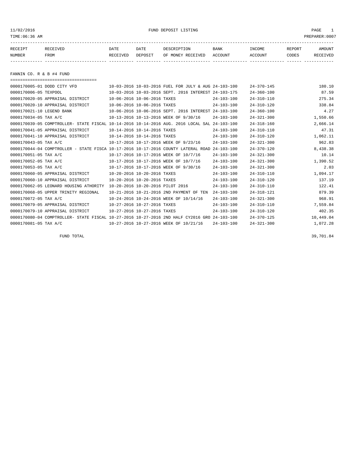11/02/2016 FUND DEPOSIT LISTING PAGE 1

| RECEIPT | <b>RECEIVED</b> | DATE     | DATE    | DESCRIPTION       | <b>BANK</b> | INCOME  | <b>REPORT</b> | AMOUNT          |
|---------|-----------------|----------|---------|-------------------|-------------|---------|---------------|-----------------|
| NUMBER  | FROM            | RECEIVED | DEPOSIT | OF MONEY RECEIVED | ACCOUNT     | ACCOUNT | CODES         | <b>RECEIVED</b> |
|         |                 |          |         |                   |             |         |               |                 |

FANNIN CO. R & B #4 FUND

===================================

|                           | 0000170005-01 DODD CITY VFD                                                                  |                                  | 10-03-2016 10-03-2016 FUEL FOR JULY & AUG 24-103-100 |                  | $24 - 370 - 145$ | 180.10    |
|---------------------------|----------------------------------------------------------------------------------------------|----------------------------------|------------------------------------------------------|------------------|------------------|-----------|
| 0000170006-05 TEXPOOL     |                                                                                              |                                  | 10-03-2016 10-03-2016 SEPT. 2016 INTEREST 24-103-175 |                  | $24 - 360 - 100$ | 87.59     |
|                           | 0000170020-05 APPRAISAL DISTRICT                                                             | 10-06-2016 10-06-2016 TAXES      |                                                      | $24 - 103 - 100$ | $24 - 310 - 110$ | 275.34    |
|                           | 0000170020-10 APPRAISAL DISTRICT                                                             | 10-06-2016 10-06-2016 TAXES      |                                                      | $24 - 103 - 100$ | $24 - 310 - 120$ | 338.84    |
| 0000170021-10 LEGEND BANK |                                                                                              |                                  | 10-06-2016 10-06-2016 SEPT, 2016 INTEREST 24-103-100 |                  | $24 - 360 - 100$ | 4.27      |
| 0000170034-05 TAX A/C     |                                                                                              |                                  | 10-13-2016 10-13-2016 WEEK OF 9/30/16                | $24 - 103 - 100$ | $24 - 321 - 300$ | 1,550.66  |
|                           | 0000170039-05 COMPTROLLER- STATE FISCAL 10-14-2016 10-14-2016 AUG. 2016 LOCAL SAL 24-103-100 |                                  |                                                      |                  | $24 - 318 - 160$ | 2,666.14  |
|                           | 0000170041-05 APPRAISAL DISTRICT                                                             | 10-14-2016 10-14-2016 TAXES      |                                                      | $24 - 103 - 100$ | $24 - 310 - 110$ | 47.31     |
|                           | 0000170041-10 APPRAISAL DISTRICT                                                             | 10-14-2016 10-14-2016 TAXES      |                                                      | $24 - 103 - 100$ | $24 - 310 - 120$ | 1,062.11  |
| 0000170043-05 TAX A/C     |                                                                                              |                                  | 10-17-2016 10-17-2016 WEEK OF 9/23/16                | $24 - 103 - 100$ | $24 - 321 - 300$ | 962.83    |
|                           | 0000170044-04 COMPTROLLER - STATE FISCA 10-17-2016 10-17-2016 COUNTY LATERAL ROAD            |                                  |                                                      | $24 - 103 - 100$ | $24 - 370 - 120$ | 8,438.38  |
| 0000170051-05 TAX A/C     |                                                                                              |                                  | 10-17-2016 10-17-2016 WEEK OF 10/7/16                | $24 - 103 - 100$ | $24 - 321 - 300$ | 10.14     |
| 0000170052-05 TAX A/C     |                                                                                              |                                  | 10-17-2016 10-17-2016 WEEK OF 10/7/16                | $24 - 103 - 100$ | $24 - 321 - 300$ | 1,390.52  |
| 0000170053-05 TAX A/C     |                                                                                              |                                  | 10-17-2016 10-17-2016 WEEK OF 9/30/16                | $24 - 103 - 100$ | $24 - 321 - 300$ | 2.03      |
|                           | 0000170060-05 APPRAISAL DISTRICT                                                             | 10-20-2016 10-20-2016 TAXES      |                                                      | $24 - 103 - 100$ | $24 - 310 - 110$ | 1,094.17  |
|                           | 0000170060-10 APPRAISAL DISTRICT                                                             | 10-20-2016 10-20-2016 TAXES      |                                                      | $24 - 103 - 100$ | $24 - 310 - 120$ | 137.19    |
|                           | 0000170062-05 LEONARD HOUSING ATHORITY                                                       | 10-20-2016 10-20-2016 PILOT 2016 |                                                      | $24 - 103 - 100$ | $24 - 310 - 110$ | 122.41    |
|                           | 0000170068-05 UPPER TRINITY REGIONAL                                                         |                                  | 10-21-2016 10-21-2016 2ND PAYMENT OF TEN             | $24 - 103 - 100$ | $24 - 318 - 121$ | 879.39    |
| 0000170072-05 TAX A/C     |                                                                                              |                                  | 10-24-2016 10-24-2016 WEEK OF 10/14/16               | $24 - 103 - 100$ | $24 - 321 - 300$ | 968.91    |
|                           | 0000170079-05 APPRAISAL DISTRICT                                                             | 10-27-2016 10-27-2016 TAXES      |                                                      | $24 - 103 - 100$ | $24 - 310 - 110$ | 7,559.84  |
|                           | 0000170079-10 APPRAISAL DISTRICT                                                             | 10-27-2016 10-27-2016 TAXES      |                                                      | $24 - 103 - 100$ | $24 - 310 - 120$ | 402.35    |
|                           | 0000170080-04 COMPTROLLER- STATE FISCAL 10-27-2016 10-27-2016 2ND HALF CY2016 GRO 24-103-100 |                                  |                                                      |                  | $24 - 370 - 125$ | 10,449.04 |
| 0000170081-05 TAX A/C     |                                                                                              |                                  | 10-27-2016 10-27-2016 WEEK OF 10/21/16               | $24 - 103 - 100$ | $24 - 321 - 300$ | 1,072.28  |

FUND TOTAL  $39,701.84$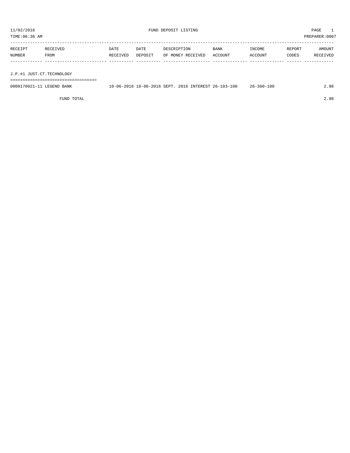TIME:06:36 AM PREPARER:0007 ----------------------------------------------------------------------------------------------------------------------------------- RECEIPT RECEIVED DATE DATE DESCRIPTION BANK INCOME REPORT AMOUNT NUMBER FROM RECEIVED DEPOSIT OF MONEY RECEIVED ACCOUNT ACCOUNT CODES RECEIVED

| J.P.#1 JUST.CT.TECHNOLOGY |                                                      |  |                  |      |
|---------------------------|------------------------------------------------------|--|------------------|------|
|                           |                                                      |  |                  |      |
| 0000170021-11 LEGEND BANK | 10-06-2016 10-06-2016 SEPT, 2016 INTEREST 26-103-100 |  | $26 - 360 - 100$ | 2.98 |

FUND TOTAL 2.98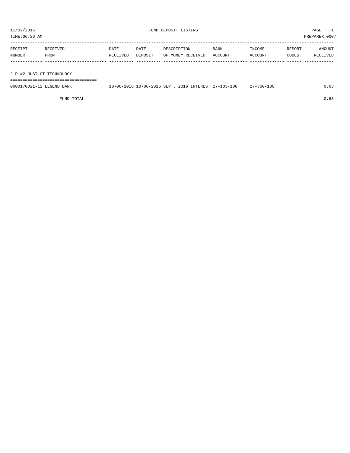| TIME:06:36 AM             |                  |                  |                 |                                  |                        |                   |                 | PREPARER:0007      |
|---------------------------|------------------|------------------|-----------------|----------------------------------|------------------------|-------------------|-----------------|--------------------|
| RECEIPT<br>NUMBER         | RECEIVED<br>FROM | DATE<br>RECEIVED | DATE<br>DEPOSIT | DESCRIPTION<br>OF MONEY RECEIVED | <b>BANK</b><br>ACCOUNT | INCOME<br>ACCOUNT | REPORT<br>CODES | AMOUNT<br>RECEIVED |
|                           |                  |                  |                 |                                  |                        |                   |                 |                    |
| J.P.#2 JUST.CT.TECHNOLOGY |                  |                  |                 |                                  |                        |                   |                 |                    |

===================================

| 0000170021-12 LEGEND BANK | 10-06-2016 10-06-2016 SEPT. 2016 INTEREST 27-103-100 |  |  | $27 - 360 - 100$ |  |
|---------------------------|------------------------------------------------------|--|--|------------------|--|
|                           |                                                      |  |  |                  |  |

FUND TOTAL  $0.63$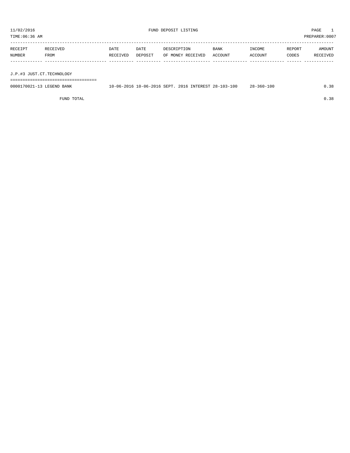TIME:06:36 AM PREPARER:0007 ----------------------------------------------------------------------------------------------------------------------------------- RECEIPT RECEIVED DATE DATE DESCRIPTION BANK INCOME REPORT AMOUNT NUMBER FROM RECEIVED DEPOSIT OF MONEY RECEIVED ACCOUNT ACCOUNT CODES RECEIVED ------------- ------------------------- ---------- ---------- ------------------- -------------- -------------- ------ ------------ J.P.#3 JUST.CT.TECHNOLOGY

===================================

| 0000170021-13 LEGEND BANK |  |  | 10-06-2016 10-06-2016 SEPT. 2016 INTEREST 28-103-100 | $28 - 360 - 100$ | 0.38 |
|---------------------------|--|--|------------------------------------------------------|------------------|------|
|                           |  |  |                                                      |                  |      |

FUND TOTAL  $0.38$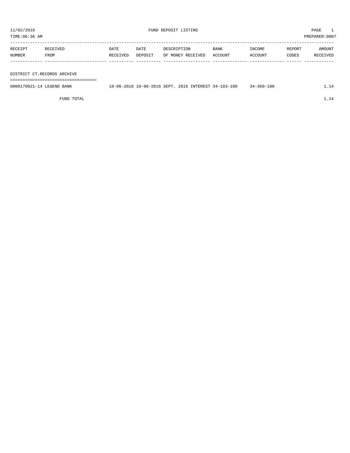TIME:06:36 AM PREPARER:0007

| RECEIPT | RECEIVED | DATE     | DATE    | DESCRIPTION       | <b>BANK</b> | INCOME  | REPORT | AMOUNT   |
|---------|----------|----------|---------|-------------------|-------------|---------|--------|----------|
| NUMBER  | FROM     | RECEIVED | DEPOSIT | OF MONEY RECEIVED | ACCOUNT     | ACCOUNT | CODES  | RECEIVED |
|         |          |          |         |                   |             |         |        |          |
|         |          |          |         |                   |             |         |        |          |

DISTRICT CT.RECORDS ARCHIVE

===================================

| 0000170021-14 LEGEND BANK | 10-06-2016 10-06-2016 SEPT, 2016 INTEREST 34-103-100 |  | 34-360-100 |  |
|---------------------------|------------------------------------------------------|--|------------|--|
|                           |                                                      |  |            |  |

FUND TOTAL  $1.14$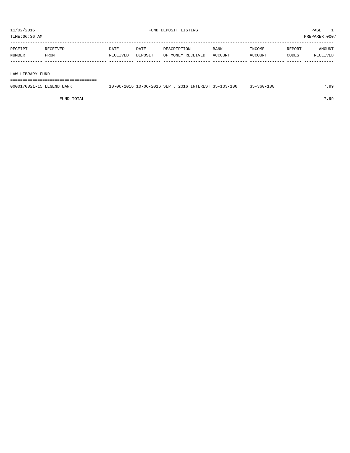TIME:06:36 AM PREPARER:0007 -----------------------------------------------------------------------------------------------------------------------------------

|        | the contract of the contract of the contract of the contract of the contract of | DATE                                                                                    | DATF           |                 | <b>BANK</b> | <b>NCOMF</b> | REPORT     | MOUNT  |
|--------|---------------------------------------------------------------------------------|-----------------------------------------------------------------------------------------|----------------|-----------------|-------------|--------------|------------|--------|
| NUMBER | TROM                                                                            | 'VET<br>the contract of the contract of the contract of the contract of the contract of | <b>DEPOSTT</b> | VET<br>MC<br>חר | ACCOUNT     | CCOUNT       | CODES<br>. | יהדל ד |
|        |                                                                                 |                                                                                         |                |                 |             |              |            |        |

#### LAW LIBRARY FUND

===================================

| 0000170021-15<br>$T$ $T$ $T$ $T$ $T$ $T$ $T$ $T$ $T$ $T$<br>LEGEND BANK | 10-06-2016 | $10 - 06 - 2016$ SEPT. | 2016 | INTEREST 35- | $35 - 103 - 100$ | $-360 - 100$ | $\alpha$ |
|-------------------------------------------------------------------------|------------|------------------------|------|--------------|------------------|--------------|----------|
|                                                                         |            |                        |      |              |                  |              |          |

FUND TOTAL 7.99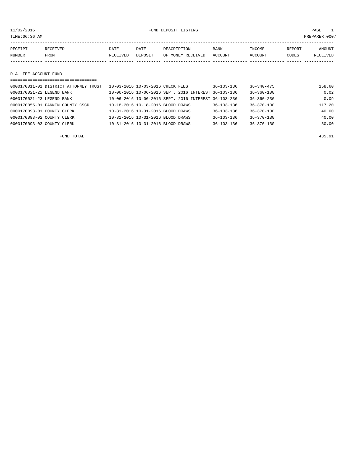11/02/2016 FUND DEPOSIT LISTING PAGE 1

| RECEIPT                             | RECEIVED | <b>DATE</b> | DATE    | DESCRIPTION       | BANK    | INCOME  | REPORT | <b>AMOUNT</b> |
|-------------------------------------|----------|-------------|---------|-------------------|---------|---------|--------|---------------|
| NUMBER                              | FROM     | RECEIVED    | DEPOSIT | OF MONEY RECEIVED | ACCOUNT | ACCOUNT | CODES  | RECEIVED      |
|                                     |          |             |         |                   |         |         |        |               |
| DDD 30001310 DI33D<br>$\sim$ $\sim$ |          |             |         |                   |         |         |        |               |

# D.A. FEE ACCOUNT FUND

| ===================================   |                                                      |                  |                  |        |
|---------------------------------------|------------------------------------------------------|------------------|------------------|--------|
| 0000170011-01 DISTRICT ATTORNEY TRUST | 10-03-2016 10-03-2016 CHECK FEES                     | $36 - 103 - 136$ | $36 - 340 - 475$ | 158.60 |
| 0000170021-22 LEGEND BANK             | 10-06-2016 10-06-2016 SEPT, 2016 INTEREST 36-103-136 |                  | $36 - 360 - 100$ | 0.02   |
| 0000170021-23 LEGEND BANK             | 10-06-2016 10-06-2016 SEPT, 2016 INTEREST 36-103-236 |                  | $36 - 360 - 236$ | 0.09   |
| 0000170055-01 FANNIN COUNTY CSCD      | 10-18-2016 10-18-2016 BLOOD DRAWS                    | $36 - 103 - 136$ | $36 - 370 - 130$ | 117.20 |
| 0000170093-01 COUNTY CLERK            | 10-31-2016 10-31-2016 BLOOD DRAWS                    | $36 - 103 - 136$ | $36 - 370 - 130$ | 40.00  |
| 0000170093-02 COUNTY CLERK            | 10-31-2016 10-31-2016 BLOOD DRAWS                    | $36 - 103 - 136$ | $36 - 370 - 130$ | 40.00  |
| 0000170093-03 COUNTY CLERK            | 10-31-2016 10-31-2016 BLOOD DRAWS                    | $36 - 103 - 136$ | $36 - 370 - 130$ | 80.00  |

FUND TOTAL 435.91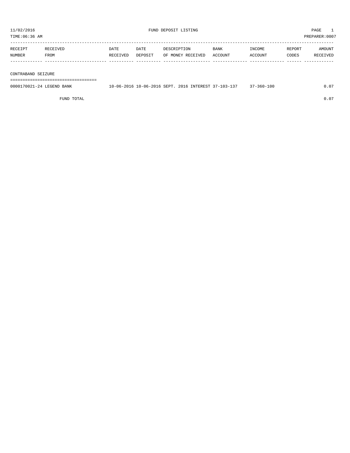TIME:06:36 AM PREPARER:0007 ----------------------------------------------------------------------------------------------------------------------------------- RECEIPT RECEIVED DATE DATE DESCRIPTION BANK INCOME REPORT AMOUNT NUMBER FROM RECEIVED DEPOSIT OF MONEY RECEIVED ACCOUNT ACCOUNT CODES RECEIVED ------------- ------------------------- ---------- ---------- ------------------- -------------- -------------- ------ ------------

#### CONTRABAND SEIZURE

===================================

| 0000170021-24 LEGEND BANK | 10-06-2016 10-06-2016 SEPT. |  | 2016 INTEREST 37-103-137 | -360-100 |  |
|---------------------------|-----------------------------|--|--------------------------|----------|--|
|                           |                             |  |                          |          |  |

FUND TOTAL 0.07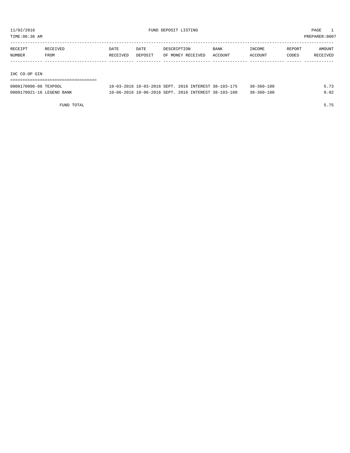TIME:06:36 AM PREPARER:0007

| RECEIPT | RECEIVED | DATE     | DATE    | DESCRIPTION       | <b>BANK</b> | INCOME         | REPORT | AMOUNT   |
|---------|----------|----------|---------|-------------------|-------------|----------------|--------|----------|
| NUMBER  | FROM     | RECEIVED | DEPOSIT | OF MONEY RECEIVED | ACCOUNT     | <b>ACCOUNT</b> | CODES  | RECEIVED |
|         |          |          |         |                   |             |                |        |          |

#### IHC CO-OP GIN

| ------------------        |                                                      |  |                  |      |
|---------------------------|------------------------------------------------------|--|------------------|------|
| 0000170006-06 TEXPOOL     | 10-03-2016 10-03-2016 SEPT, 2016 INTEREST 38-103-175 |  | $38 - 360 - 100$ | 5.73 |
| 0000170021-16 LEGEND BANK | 10-06-2016 10-06-2016 SEPT, 2016 INTEREST 38-103-100 |  | $38 - 360 - 100$ | 0.02 |

FUND TOTAL 5.75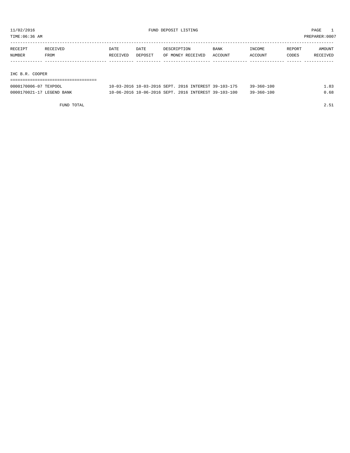TIME:06:36 AM PREPARER:0007

| RECEIPT         | RECEIVED | <b>DATE</b> | DATE    | DESCRIPTION       | <b>BANK</b> | INCOME  | REPORT | AMOUNT   |
|-----------------|----------|-------------|---------|-------------------|-------------|---------|--------|----------|
| NUMBER          | FROM     | RECEIVED    | DEPOSIT | OF MONEY RECEIVED | ACCOUNT     | ACCOUNT | CODES  | RECEIVED |
|                 |          |             |         |                   |             |         |        |          |
|                 |          |             |         |                   |             |         |        |          |
| IHC B.R. COOPER |          |             |         |                   |             |         |        |          |

| ----------------------    |                                                      |                  |      |
|---------------------------|------------------------------------------------------|------------------|------|
| 0000170006-07 TEXPOOL     | 10-03-2016 10-03-2016 SEPT. 2016 INTEREST 39-103-175 | 39-360-100       | -83  |
| 0000170021-17 LEGEND BANK | 10-06-2016 10-06-2016 SEPT. 2016 INTEREST 39-103-100 | $39 - 360 - 100$ | 0.68 |

FUND TOTAL 2.51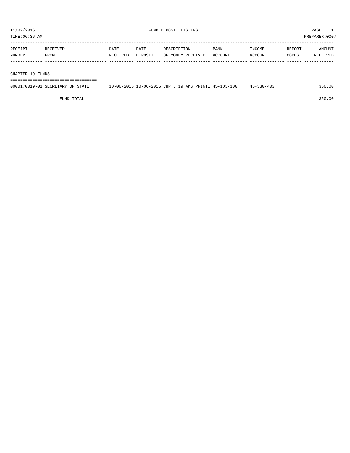| TIME:06:36 AM |          |          |         |                   |             |         |        |          |  |
|---------------|----------|----------|---------|-------------------|-------------|---------|--------|----------|--|
|               |          |          |         |                   |             |         |        |          |  |
| RECEIPT       | RECEIVED | DATE     | DATE    | DESCRIPTION       | <b>BANK</b> | INCOME  | REPORT | AMOUNT   |  |
| NUMBER        | FROM     | RECEIVED | DEPOSIT | OF MONEY RECEIVED | ACCOUNT     | ACCOUNT | CODES  | RECEIVED |  |
|               |          |          |         |                   |             |         |        |          |  |
|               |          |          |         |                   |             |         |        |          |  |

#### CHAPTER 19 FUNDS

===================================

| 0000170019-01 SECRETARY OF STATE | 10-06-2016 10-06-2016 CHPT. 19 AMG PRINTI 45-103-100 | $45 - 330 - 403$ | 350.00 |
|----------------------------------|------------------------------------------------------|------------------|--------|
|                                  |                                                      |                  |        |

FUND TOTAL 350.00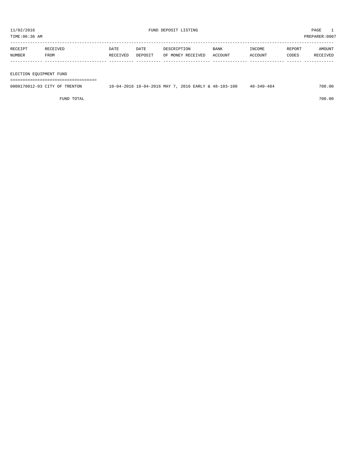TIME:06:36 AM PREPARER:0007

| RECEIPT | RECEIVED | DATE            | DATE    | DESCRIPTION       | <b>BANK</b>    | INCOME         | REPORT | AMOUNT   |
|---------|----------|-----------------|---------|-------------------|----------------|----------------|--------|----------|
| NUMBER  | FROM     | <b>RECEIVED</b> | DEPOSIT | OF MONEY RECEIVED | <b>ACCOUNT</b> | <b>ACCOUNT</b> | CODES  | RECEIVED |
|         |          |                 |         |                   |                |                |        |          |

#### ELECTION EQUIPMENT FUND

===================================

| 0000170012-03 CITY OF TRENTON | 10-04-2016 MAY 7<br>$10 - 04 - 20$<br>$\cdot$ In | 2016 EARLY & 48-103-100 | -340-484<br>$40 -$ | 700.00 |
|-------------------------------|--------------------------------------------------|-------------------------|--------------------|--------|
|                               |                                                  |                         |                    |        |

FUND TOTAL 700.00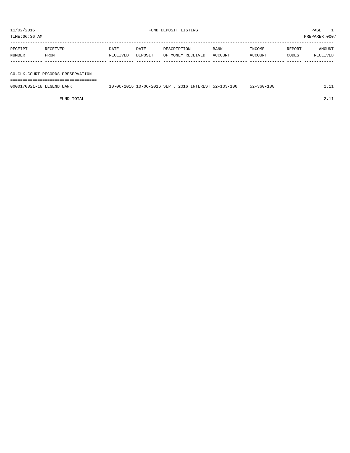TIME:06:36 AM PREPARER:0007

| RECEIPT | RECEIVED | DATE     | DATE    | DESCRIPTION       | BANK    | INCOME  | REPORT | AMOUNT   |
|---------|----------|----------|---------|-------------------|---------|---------|--------|----------|
| NUMBER  | FROM     | RECEIVED | DEPOSIT | OF MONEY RECEIVED | ACCOUNT | ACCOUNT | CODES  | RECEIVED |
|         |          |          |         |                   |         |         |        |          |
|         |          |          |         |                   |         |         |        |          |

CO.CLK.COURT RECORDS PRESERVATION

===================================

| 0000170021-18<br>LEGEND BANK | 10-06-2016 | 10-06-2016 SEPT. |  | $. 2016$ INTEREST 52 | 100<br>$52 - 103 - 1$ | -100<br>$.2 - 360 - 7$ |  |
|------------------------------|------------|------------------|--|----------------------|-----------------------|------------------------|--|
|                              |            |                  |  |                      |                       |                        |  |

FUND TOTAL 2.11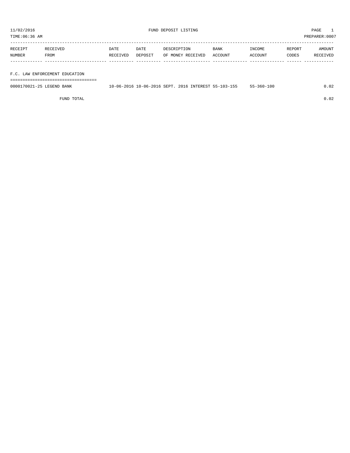TIME:06:36 AM PREPARER:0007

| RECEIPT | RECEIVED | DATE     | DATE    | DESCRIPTION       | <b>BANK</b> | INCOME  | REPORT | AMOUNT   |
|---------|----------|----------|---------|-------------------|-------------|---------|--------|----------|
| NUMBER  | FROM     | RECEIVED | DEPOSIT | OF MONEY RECEIVED | ACCOUNT     | ACCOUNT | CODES  | RECEIVED |
|         |          |          |         |                   |             |         |        |          |
|         |          |          |         |                   |             |         |        |          |

F.C. LAW ENFORCEMENT EDUCATION

===================================

| 0000170021-25<br>BANK<br>. FIGERIND | $0 - 06 -$<br>$\cdot$ . In | 10-06-2016 SEPT. | 2016 | INTEREST 55- | $-$ | 100<br>360- |  |
|-------------------------------------|----------------------------|------------------|------|--------------|-----|-------------|--|
|                                     |                            |                  |      |              |     |             |  |

FUND TOTAL 0.02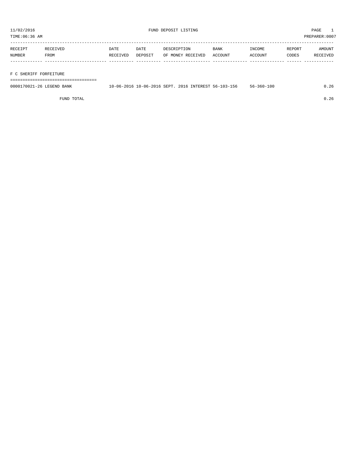TIME:06:36 AM PREPARER:0007

| RECEIPT | RECEIVED | DATE     | DATE    | DESCRIPTION       | <b>BANK</b> | INCOME  | REPORT | AMOUNT   |
|---------|----------|----------|---------|-------------------|-------------|---------|--------|----------|
| NUMBER  | FROM     | RECEIVED | DEPOSIT | OF MONEY RECEIVED | ACCOUNT     | ACCOUNT | CODES  | RECEIVED |
|         |          |          |         |                   |             |         |        |          |
|         |          |          |         |                   |             |         |        |          |

## F C SHERIFF FORFEITURE

===================================

| 0000170021-26 LEGEND BANK |  |  | 10-06-2016 10-06-2016 SEPT. 2016 INTEREST 56-103-156 | $56 - 360 - 100$ | 1.26 |
|---------------------------|--|--|------------------------------------------------------|------------------|------|
|                           |  |  |                                                      |                  |      |

FUND TOTAL 0.26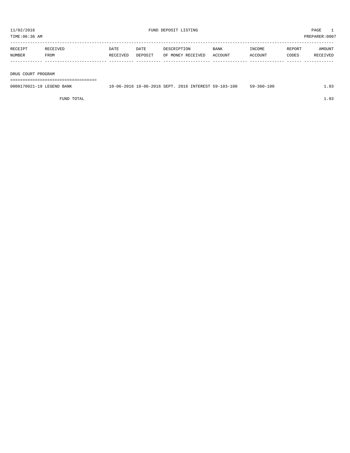TIME:06:36 AM PREPARER:0007 -----------------------------------------------------------------------------------------------------------------------------------

| アムレ           |             | DATE           | DATE    |                       | <b>BANK</b>  |        | REPORT | <b>IOTINI</b> |
|---------------|-------------|----------------|---------|-----------------------|--------------|--------|--------|---------------|
| <b>NUMBER</b> | <b>FROM</b> | <b>DECEIVE</b> | ידפ∩סקר | <b>RECEIVED</b><br>ገF | <b>TOUNT</b> | CCOUNT | CODES  |               |
|               |             |                |         |                       |              |        |        |               |

DRUG COURT PROGRAM

===================================

| 0000170021-19 LEGEND BANK | 10-06-2016 10-06-2016 SEPT, 2016 INTEREST 59-103-100 |  | -360-100<br>59- |  |
|---------------------------|------------------------------------------------------|--|-----------------|--|
|                           |                                                      |  |                 |  |

FUND TOTAL 1.93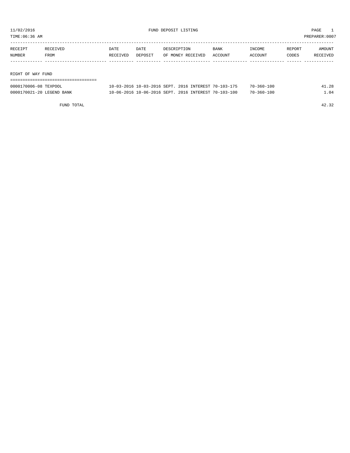TIME:06:36 AM PREPARER:0007

| RECEIPT           | RECEIVED | DATE     | DATE    | DESCRIPTION       | <b>BANK</b> | INCOME  | REPORT | AMOUNT   |
|-------------------|----------|----------|---------|-------------------|-------------|---------|--------|----------|
| NUMBER            | FROM     | RECEIVED | DEPOSIT | OF MONEY RECEIVED | ACCOUNT     | ACCOUNT | CODES  | RECEIVED |
|                   |          |          |         |                   |             |         |        |          |
|                   |          |          |         |                   |             |         |        |          |
| RIGHT OF WAY FUND |          |          |         |                   |             |         |        |          |

| 0000170006-08 TEXPOOL     | 10-03-2016 10-03-2016 SEPT. 2016 INTEREST 70-103-175 | $70 - 360 - 100$ | 41.28 |
|---------------------------|------------------------------------------------------|------------------|-------|
| 0000170021-20 LEGEND BANK | 10-06-2016 10-06-2016 SEPT. 2016 INTEREST 70-103-100 | 70-360-100       | 1.04  |

FUND TOTAL 42.32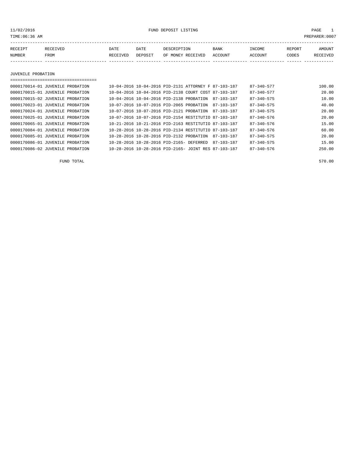11/02/2016 FUND DEPOSIT LISTING PAGE 1

| RECEIPT | <b>RECEIVED</b> | DATE     | DATE    | DESCRIPTION       | <b>BANK</b> | INCOME  | <b>REPORT</b> | AMOUNT          |
|---------|-----------------|----------|---------|-------------------|-------------|---------|---------------|-----------------|
| NUMBER  | FROM            | RECEIVED | DEPOSIT | OF MONEY RECEIVED | ACCOUNT     | ACCOUNT | CODES         | <b>RECEIVED</b> |
|         |                 |          |         |                   |             |         |               |                 |

JUVENILE PROBATION

===================================

| 0000170014-01 JUVENILE PROBATION |  |                                                      |  | 10-04-2016 10-04-2016 PID-2131 ATTORNEY F 87-103-187 |            | 87-340-577       | 100.00 |
|----------------------------------|--|------------------------------------------------------|--|------------------------------------------------------|------------|------------------|--------|
| 0000170015-01 JUVENILE PROBATION |  | 10-04-2016 10-04-2016 PID-2138 COURT COST 87-103-187 |  |                                                      |            | $87 - 340 - 577$ | 20.00  |
| 0000170015-02 JUVENILE PROBATION |  | 10-04-2016 10-04-2016 PID-2138 PROBATION             |  |                                                      | 87-103-187 | 87-340-575       | 10.00  |
| 0000170023-01 JUVENILE PROBATION |  | 10-07-2016 10-07-2016 PID-2065 PROBATION             |  |                                                      | 87-103-187 | $87 - 340 - 575$ | 40.00  |
| 0000170024-01 JUVENILE PROBATION |  | 10-07-2016 10-07-2016 PID-2121 PROBATION             |  |                                                      | 87-103-187 | $87 - 340 - 575$ | 20.00  |
| 0000170025-01 JUVENILE PROBATION |  | 10-07-2016 10-07-2016 PID-2154 RESTITUTIO 87-103-187 |  |                                                      |            | $87 - 340 - 576$ | 20.00  |
| 0000170065-01 JUVENILE PROBATION |  | 10-21-2016 10-21-2016 PID-2163 RESTITUTIO 87-103-187 |  |                                                      |            | $87 - 340 - 576$ | 15.00  |
| 0000170084-01 JUVENILE PROBATION |  | 10-28-2016 10-28-2016 PID-2134 RESTITUTIO 87-103-187 |  |                                                      |            | $87 - 340 - 576$ | 60.00  |
| 0000170085-01 JUVENILE PROBATION |  | 10-28-2016 10-28-2016 PID-2132 PROBATION             |  |                                                      | 87-103-187 | $87 - 340 - 575$ | 20.00  |
| 0000170086-01 JUVENILE PROBATION |  | 10-28-2016 10-28-2016 PID-2165- DEFERRED             |  |                                                      | 87-103-187 | $87 - 340 - 575$ | 15.00  |
| 0000170086-02 JUVENILE PROBATION |  | 10-28-2016 10-28-2016 PID-2165- JOINT RES 87-103-187 |  |                                                      |            | $87 - 340 - 576$ | 250.00 |
|                                  |  |                                                      |  |                                                      |            |                  |        |

FUND TOTAL 570.00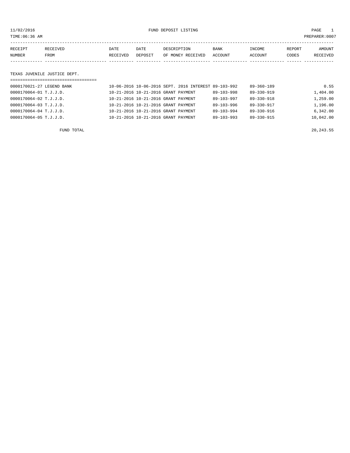11/02/2016 FUND DEPOSIT LISTING PAGE 1

| RECEIPT | <b>RECEIVED</b> | DATE     | DATE    | DESCRIPTION       | <b>BANK</b> | INCOME         | REPORT | AMOUNT   |
|---------|-----------------|----------|---------|-------------------|-------------|----------------|--------|----------|
| NUMBER  | <b>FROM</b>     | RECEIVED | DEPOSIT | OF MONEY RECEIVED | ACCOUNT     | <b>ACCOUNT</b> | CODES  | RECEIVED |
|         |                 |          |         |                   |             |                |        |          |

#### TEXAS JUVENILE JUSTICE DEPT.

| =================================== |                                     |                                                      |                  |                  |           |
|-------------------------------------|-------------------------------------|------------------------------------------------------|------------------|------------------|-----------|
| 0000170021-27 LEGEND BANK           |                                     | 10-06-2016 10-06-2016 SEPT, 2016 INTEREST 89-103-992 |                  | 89-360-189       | 0.55      |
| 0000170064-01 T.J.J.D.              | 10-21-2016 10-21-2016 GRANT PAYMENT |                                                      | 89-103-998       | $89 - 330 - 919$ | 1,404.00  |
| 0000170064-02 T.J.J.D.              | 10-21-2016 10-21-2016 GRANT PAYMENT |                                                      | $89 - 103 - 997$ | $89 - 330 - 918$ | 1,259.00  |
| 0000170064-03 T.J.J.D.              | 10-21-2016 10-21-2016 GRANT PAYMENT |                                                      | $89 - 103 - 996$ | 89-330-917       | 1,196.00  |
| 0000170064-04 T.J.J.D.              | 10-21-2016 10-21-2016 GRANT PAYMENT |                                                      | $89 - 103 - 994$ | 89-330-916       | 6.342.00  |
| 0000170064-05 T.J.J.D.              | 10-21-2016 10-21-2016 GRANT PAYMENT |                                                      | $89 - 103 - 993$ | $89 - 330 - 915$ | 10,042.00 |
|                                     |                                     |                                                      |                  |                  |           |

FUND TOTAL 20,243.55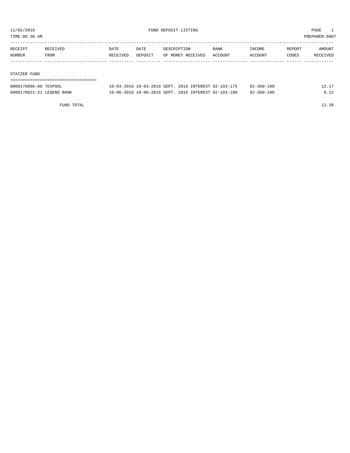TIME:06:36 AM PREPARER:0007

| RECEIPT | RECEIVED    | DATE     | DATE    | DESCRIPTION       | <b>BANK</b> | INCOME         | REPORT | AMOUNT   |
|---------|-------------|----------|---------|-------------------|-------------|----------------|--------|----------|
| NUMBER  | <b>FROM</b> | RECEIVED | DEPOSIT | OF MONEY RECEIVED | ACCOUNT     | <b>ACCOUNT</b> | CODES  | RECEIVED |
|         |             |          |         |                   |             |                |        |          |
|         |             |          |         |                   |             |                |        |          |

#### STATZER FUND

| ------------------------------- |                                                      |            |       |
|---------------------------------|------------------------------------------------------|------------|-------|
| 0000170006-09 TEXPOOL           | 10-03-2016 10-03-2016 SEPT, 2016 INTEREST 92-103-175 | 92-360-100 | 12.17 |
| 0000170021-21 LEGEND BANK       | 10-06-2016 10-06-2016 SEPT, 2016 INTEREST 92-103-100 | 92-360-100 | 0.22  |

FUND TOTAL 12.39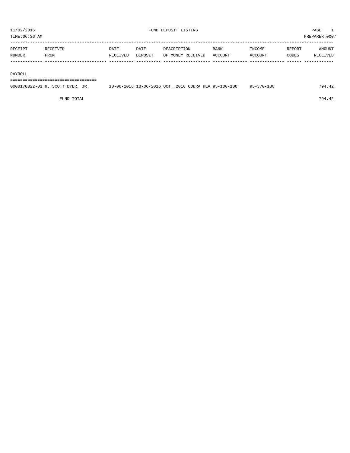| TIME:06:36 AM |          |          |         |                   |             |                |        | PREPARER: 0007  |
|---------------|----------|----------|---------|-------------------|-------------|----------------|--------|-----------------|
|               |          |          |         |                   |             |                |        |                 |
| RECEIPT       | RECEIVED | DATE     | DATE    | DESCRIPTION       | <b>BANK</b> | INCOME         | REPORT | AMOUNT          |
| <b>NUMBER</b> | FROM     | RECEIVED | DEPOSIT | OF MONEY RECEIVED | ACCOUNT     | <b>ACCOUNT</b> | CODES  | <b>RECEIVED</b> |
|               |          |          |         |                   |             |                |        |                 |
|               |          |          |         |                   |             |                |        |                 |

#### PAYROLL

===================================

| 0000170022-01 H. SCOTT DYER, JR. | 10-06-2016 10-06-2016 OCT. 2016 COBRA HEA 95-100-100 |  | $95 - 370 - 130$ | 794.42 |
|----------------------------------|------------------------------------------------------|--|------------------|--------|
|                                  |                                                      |  |                  |        |

FUND TOTAL 794.42